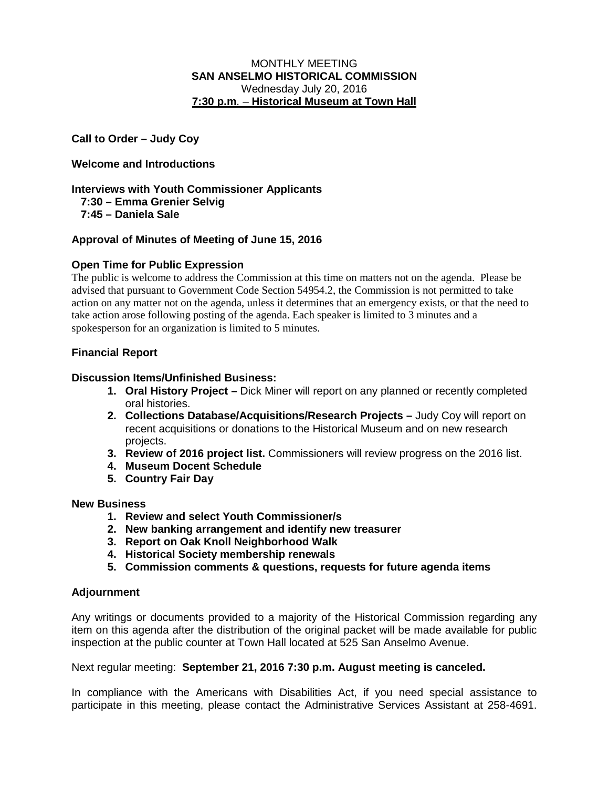### MONTHLY MEETING **SAN ANSELMO HISTORICAL COMMISSION** Wednesday July 20, 2016 **7:30 p.m**. – **Historical Museum at Town Hall**

**Call to Order – Judy Coy**

# **Welcome and Introductions**

**Interviews with Youth Commissioner Applicants 7:30 – Emma Grenier Selvig 7:45 – Daniela Sale**

### **Approval of Minutes of Meeting of June 15, 2016**

## **Open Time for Public Expression**

The public is welcome to address the Commission at this time on matters not on the agenda. Please be advised that pursuant to Government Code Section 54954.2, the Commission is not permitted to take action on any matter not on the agenda, unless it determines that an emergency exists, or that the need to take action arose following posting of the agenda. Each speaker is limited to 3 minutes and a spokesperson for an organization is limited to 5 minutes.

## **Financial Report**

### **Discussion Items/Unfinished Business:**

- **1. Oral History Project –** Dick Miner will report on any planned or recently completed oral histories.
- **2. Collections Database/Acquisitions/Research Projects –** Judy Coy will report on recent acquisitions or donations to the Historical Museum and on new research projects.
- **3. Review of 2016 project list.** Commissioners will review progress on the 2016 list.
- **4. Museum Docent Schedule**
- **5. Country Fair Day**

### **New Business**

- **1. Review and select Youth Commissioner/s**
- **2. New banking arrangement and identify new treasurer**
- **3. Report on Oak Knoll Neighborhood Walk**
- **4. Historical Society membership renewals**
- **5. Commission comments & questions, requests for future agenda items**

### **Adjournment**

Any writings or documents provided to a majority of the Historical Commission regarding any item on this agenda after the distribution of the original packet will be made available for public inspection at the public counter at Town Hall located at 525 San Anselmo Avenue.

### Next regular meeting: **September 21, 2016 7:30 p.m. August meeting is canceled.**

In compliance with the Americans with Disabilities Act, if you need special assistance to participate in this meeting, please contact the Administrative Services Assistant at 258-4691.